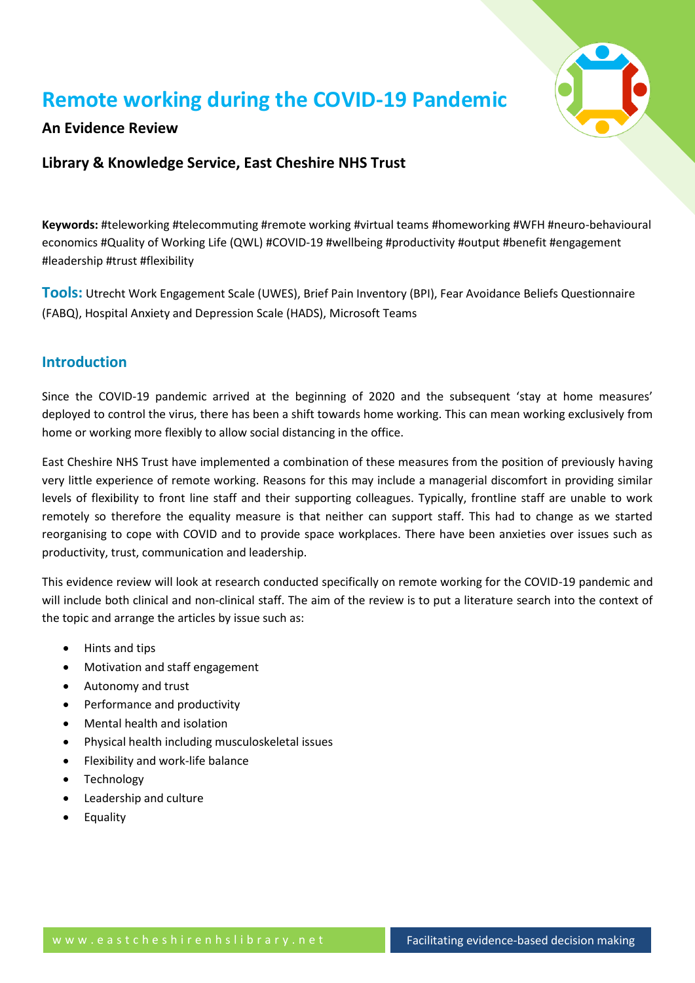

# **Remote working during the COVID-19 Pandemic**

#### **An Evidence Review**

#### **Library & Knowledge Service, East Cheshire NHS Trust**

**Keywords:** #teleworking #telecommuting #remote working #virtual teams #homeworking #WFH #neuro-behavioural economics #Quality of Working Life (QWL) #COVID-19 #wellbeing #productivity #output #benefit #engagement #leadership #trust #flexibility

**Tools:** Utrecht Work Engagement Scale (UWES), Brief Pain Inventory (BPI), Fear Avoidance Beliefs Questionnaire (FABQ), Hospital Anxiety and Depression Scale (HADS), Microsoft Teams

#### **Introduction**

Since the COVID-19 pandemic arrived at the beginning of 2020 and the subsequent 'stay at home measures' deployed to control the virus, there has been a shift towards home working. This can mean working exclusively from home or working more flexibly to allow social distancing in the office.

East Cheshire NHS Trust have implemented a combination of these measures from the position of previously having very little experience of remote working. Reasons for this may include a managerial discomfort in providing similar levels of flexibility to front line staff and their supporting colleagues. Typically, frontline staff are unable to work remotely so therefore the equality measure is that neither can support staff. This had to change as we started reorganising to cope with COVID and to provide space workplaces. There have been anxieties over issues such as productivity, trust, communication and leadership.

This evidence review will look at research conducted specifically on remote working for the COVID-19 pandemic and will include both clinical and non-clinical staff. The aim of the review is to put a literature search into the context of the topic and arrange the articles by issue such as:

- Hints and tips
- Motivation and staff engagement
- Autonomy and trust
- Performance and productivity
- Mental health and isolation
- Physical health including musculoskeletal issues
- Flexibility and work-life balance
- Technology
- Leadership and culture
- Equality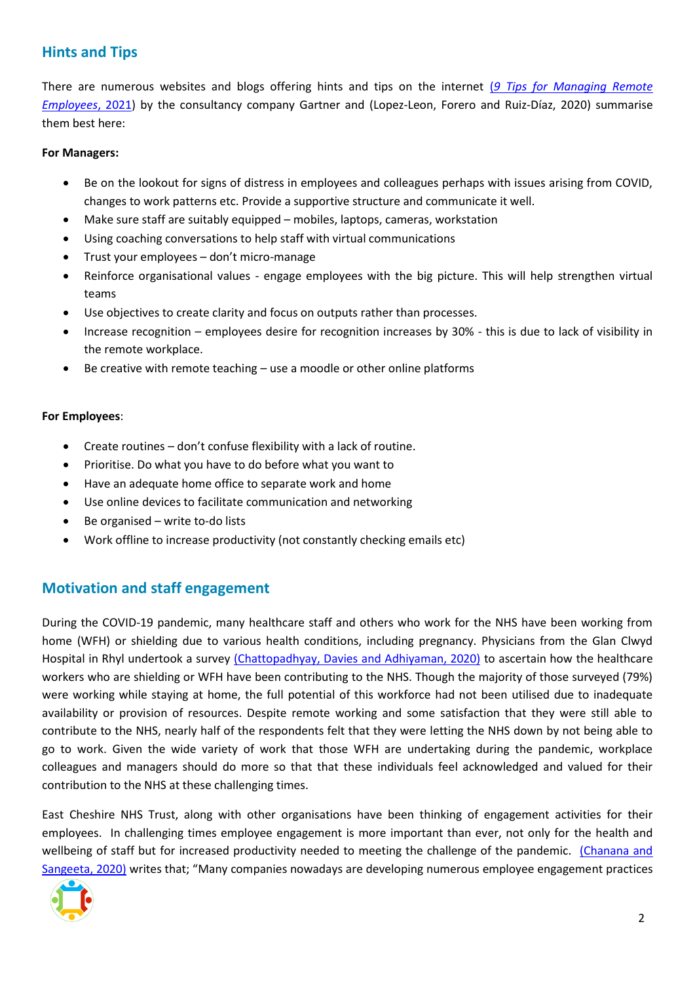# **Hints and Tips**

There are numerous websites and blogs offering hints and tips on the internet (*[9 Tips for Managing Remote](https://www.gartner.com/smarterwithgartner/9-tips-for-managing-remote-employees/)  [Employees](https://www.gartner.com/smarterwithgartner/9-tips-for-managing-remote-employees/)*, 2021) by the consultancy company Gartner and (Lopez-Leon, Forero and Ruiz-Díaz, 2020) summarise them best here:

#### **For Managers:**

- Be on the lookout for signs of distress in employees and colleagues perhaps with issues arising from COVID, changes to work patterns etc. Provide a supportive structure and communicate it well.
- Make sure staff are suitably equipped mobiles, laptops, cameras, workstation
- Using coaching conversations to help staff with virtual communications
- Trust your employees don't micro-manage
- Reinforce organisational values engage employees with the big picture. This will help strengthen virtual teams
- Use objectives to create clarity and focus on outputs rather than processes.
- Increase recognition employees desire for recognition increases by 30% this is due to lack of visibility in the remote workplace.
- Be creative with remote teaching use a moodle or other online platforms

#### **For Employees**:

- Create routines don't confuse flexibility with a lack of routine.
- Prioritise. Do what you have to do before what you want to
- Have an adequate home office to separate work and home
- Use online devices to facilitate communication and networking
- Be organised write to-do lists
- Work offline to increase productivity (not constantly checking emails etc)

# **Motivation and staff engagement**

During the COVID-19 pandemic, many healthcare staff and others who work for the NHS have been working from home (WFH) or shielding due to various health conditions, including pregnancy. Physicians from the Glan Clwyd Hospital in Rhyl undertook a survey [\(Chattopadhyay, Davies and Adhiyaman, 2020\)](https://www.rcpjournals.org/content/futurehosp/early/2020/06/16/fhj.2020-0096.full.pdf) to ascertain how the healthcare workers who are shielding or WFH have been contributing to the NHS. Though the majority of those surveyed (79%) were working while staying at home, the full potential of this workforce had not been utilised due to inadequate availability or provision of resources. Despite remote working and some satisfaction that they were still able to contribute to the NHS, nearly half of the respondents felt that they were letting the NHS down by not being able to go to work. Given the wide variety of work that those WFH are undertaking during the pandemic, workplace colleagues and managers should do more so that that these individuals feel acknowledged and valued for their contribution to the NHS at these challenging times.

East Cheshire NHS Trust, along with other organisations have been thinking of engagement activities for their employees. In challenging times employee engagement is more important than ever, not only for the health and wellbeing of staff but for increased productivity needed to meeting the challenge of the pandemic. [\(Chanana and](https://doi.org/10.1002/pa.2508)  Sangeeta, 2020) writes that; "Many companies nowadays are developing numerous employee engagement practices

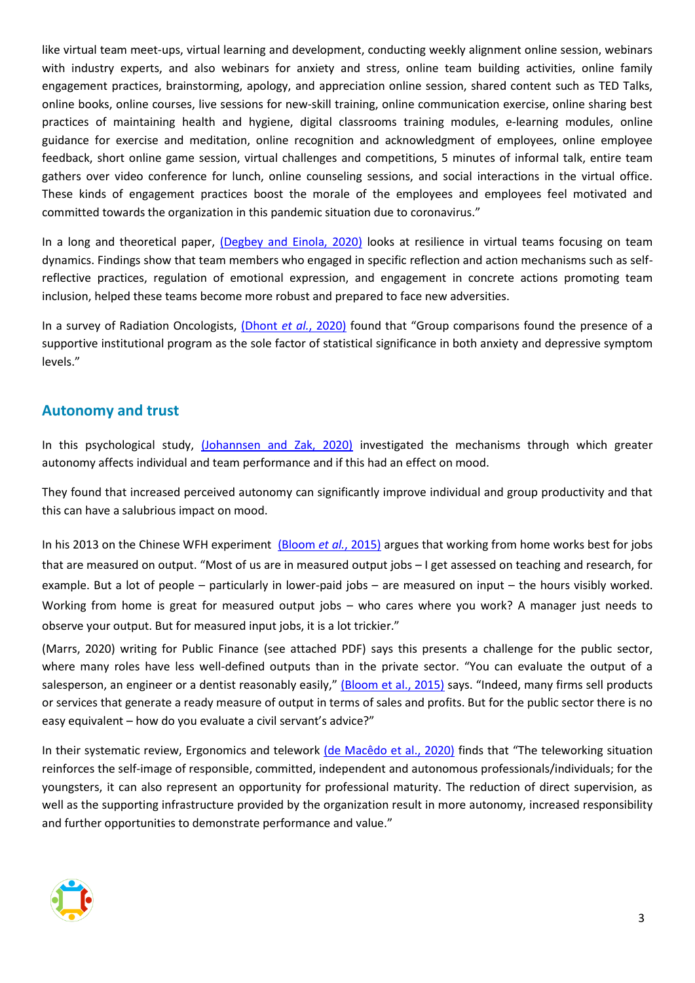like virtual team meet‐ups, virtual learning and development, conducting weekly alignment online session, webinars with industry experts, and also webinars for anxiety and stress, online team building activities, online family engagement practices, brainstorming, apology, and appreciation online session, shared content such as TED Talks, online books, online courses, live sessions for new‐skill training, online communication exercise, online sharing best practices of maintaining health and hygiene, digital classrooms training modules, e‐learning modules, online guidance for exercise and meditation, online recognition and acknowledgment of employees, online employee feedback, short online game session, virtual challenges and competitions, 5 minutes of informal talk, entire team gathers over video conference for lunch, online counseling sessions, and social interactions in the virtual office. These kinds of engagement practices boost the morale of the employees and employees feel motivated and committed towards the organization in this pandemic situation due to coronavirus."

In a long and theoretical paper, [\(Degbey and Einola, 2020\)](https://go.openathens.net/redirector/nhs?url=https%3A%2F%2Fonlinelibrary.wiley.com%2Fdoi%2Ffull%2F10.1111%2Fapps.12220) looks at resilience in virtual teams focusing on team dynamics. Findings show that team members who engaged in specific reflection and action mechanisms such as selfreflective practices, regulation of emotional expression, and engagement in concrete actions promoting team inclusion, helped these teams become more robust and prepared to face new adversities.

In a survey of Radiation Oncologists, [\(Dhont](http://www.ctro.science/article/S2405630820300550/pdf) *et al.*, 2020) found that "Group comparisons found the presence of a supportive institutional program as the sole factor of statistical significance in both anxiety and depressive symptom levels."

#### **Autonomy and trust**

In this psychological study, [\(Johannsen and Zak, 2020\)](http://europepmc.org/article/MED/32499744?singleResult=true) investigated the mechanisms through which greater autonomy affects individual and team performance and if this had an effect on mood.

They found that increased perceived autonomy can significantly improve individual and group productivity and that this can have a salubrious impact on mood.

In his 2013 on the Chinese WFH experiment [\(Bloom](https://www.gsb.stanford.edu/faculty-research/publications/does-working-home-work-evidence-chinese-experiment) *et al.*, 2015) argues that working from home works best for jobs that are measured on output. "Most of us are in measured output jobs – I get assessed on teaching and research, for example. But a lot of people – particularly in lower-paid jobs – are measured on input – the hours visibly worked. Working from home is great for measured output jobs – who cares where you work? A manager just needs to observe your output. But for measured input jobs, it is a lot trickier."

(Marrs, 2020) writing for Public Finance (see attached PDF) says this presents a challenge for the public sector, where many roles have less well-defined outputs than in the private sector. "You can evaluate the output of a salesperson, an engineer or a dentist reasonably easily," [\(Bloom et al., 2015\)](https://www.gsb.stanford.edu/faculty-research/publications/does-working-home-work-evidence-chinese-experiment) says. "Indeed, many firms sell products or services that generate a ready measure of output in terms of sales and profits. But for the public sector there is no easy equivalent – how do you evaluate a civil servant's advice?"

In their systematic review, Ergonomics and telework [\(de Macêdo et al., 2020\)](https://content.iospress.com/articles/work/wor203224) finds that "The teleworking situation reinforces the self-image of responsible, committed, independent and autonomous professionals/individuals; for the youngsters, it can also represent an opportunity for professional maturity. The reduction of direct supervision, as well as the supporting infrastructure provided by the organization result in more autonomy, increased responsibility and further opportunities to demonstrate performance and value."

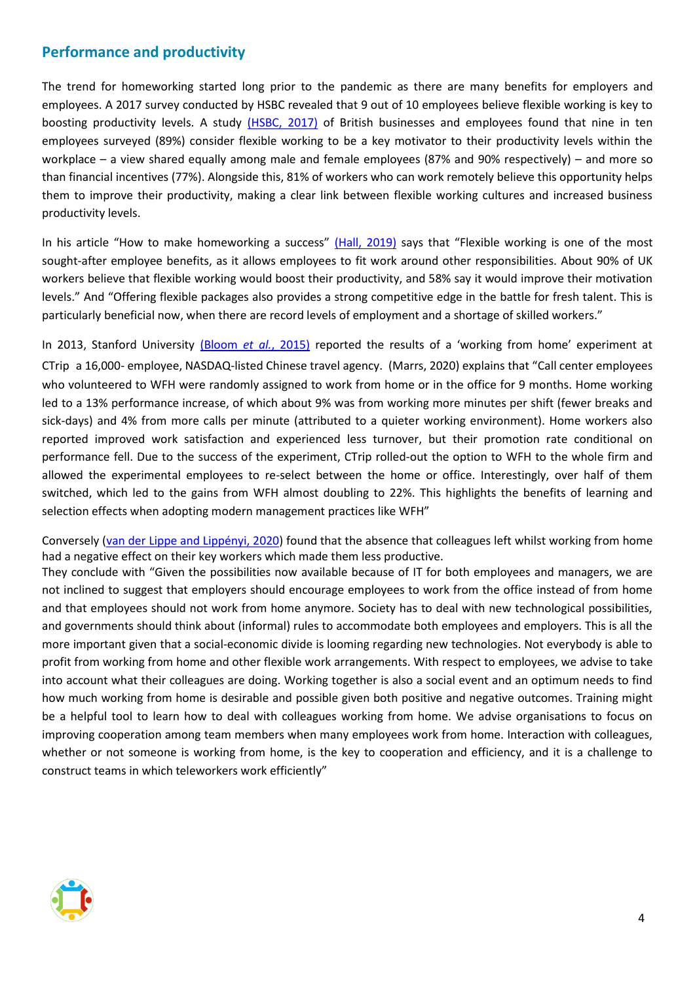#### **Performance and productivity**

The trend for homeworking started long prior to the pandemic as there are many benefits for employers and employees. A 2017 survey conducted by HSBC revealed that 9 out of 10 employees believe flexible working is key to boosting productivity levels. A study [\(HSBC, 2017\)](https://www.google.com/search?rlz=1C1GCEU_enGB893GB893&sxsrf=ALeKk01eG6539UQIyFky-GVTXvT6XyOFAw%3A1611064929137&ei=YeYGYKHdB4LB8gKa7K_ABg&q=HSBC+Nine+out+of+ten+%2889%25%29+employees+believe+flexible+working+is+key+to+boosting+productivity+levels&oq=HSBC+Nine+out+of+ten+%2889%25%29+employees+believe+flexible+working+is+key+to+boosting+productivity+levels&gs_lcp=CgZwc3ktYWIQAzoECAAQRzoHCCMQsAIQJ1D8IFiQMWDcMmgAcAJ4AIABmQGIAasEkgEDMi4zmAEAoAEBqgEHZ3dzLXdpesgBCMABAQ&sclient=psy-ab&ved=0ahUKEwjhkb7GlKjuAhWCoFwKHRr2C2gQ4dUDCA0&uact=5) of British businesses and employees found that nine in ten employees surveyed (89%) consider flexible working to be a key motivator to their productivity levels within the workplace – a view shared equally among male and female employees (87% and 90% respectively) – and more so than financial incentives (77%). Alongside this, 81% of workers who can work remotely believe this opportunity helps them to improve their productivity, making a clear link between flexible working cultures and increased business productivity levels.

In his article "How to make homeworking a success" [\(Hall, 2019\)](https://www.personneltoday.com/hr/working-from-home-wellbeing-ergonomics-msd-mental-health/) says that "Flexible working is one of the most sought-after employee benefits, as it allows employees to fit work around other responsibilities. About 90% of UK workers believe that flexible working would boost their productivity, and 58% say it would improve their motivation levels." And "Offering flexible packages also provides a strong competitive edge in the battle for fresh talent. This is particularly beneficial now, when there are record levels of employment and a shortage of skilled workers."

In 2013, Stanford University [\(Bloom](https://www.gsb.stanford.edu/faculty-research/publications/does-working-home-work-evidence-chinese-experiment) *et al.*, 2015) reported the results of a 'working from home' experiment at CTrip a 16,000- employee, NASDAQ-listed Chinese travel agency. (Marrs, 2020) explains that "Call center employees who volunteered to WFH were randomly assigned to work from home or in the office for 9 months. Home working led to a 13% performance increase, of which about 9% was from working more minutes per shift (fewer breaks and sick-days) and 4% from more calls per minute (attributed to a quieter working environment). Home workers also reported improved work satisfaction and experienced less turnover, but their promotion rate conditional on performance fell. Due to the success of the experiment, CTrip rolled-out the option to WFH to the whole firm and allowed the experimental employees to re-select between the home or office. Interestingly, over half of them switched, which led to the gains from WFH almost doubling to 22%. This highlights the benefits of learning and selection effects when adopting modern management practices like WFH"

Conversely [\(van der Lippe and Lippényi, 2020\)](https://onlinelibrary.wiley.com/doi/pdfdirect/10.1111/ntwe.12153) found that the absence that colleagues left whilst working from home had a negative effect on their key workers which made them less productive.

They conclude with "Given the possibilities now available because of IT for both employees and managers, we are not inclined to suggest that employers should encourage employees to work from the office instead of from home and that employees should not work from home anymore. Society has to deal with new technological possibilities, and governments should think about (informal) rules to accommodate both employees and employers. This is all the more important given that a social‐economic divide is looming regarding new technologies. Not everybody is able to profit from working from home and other flexible work arrangements. With respect to employees, we advise to take into account what their colleagues are doing. Working together is also a social event and an optimum needs to find how much working from home is desirable and possible given both positive and negative outcomes. Training might be a helpful tool to learn how to deal with colleagues working from home. We advise organisations to focus on improving cooperation among team members when many employees work from home. Interaction with colleagues, whether or not someone is working from home, is the key to cooperation and efficiency, and it is a challenge to construct teams in which teleworkers work efficiently"

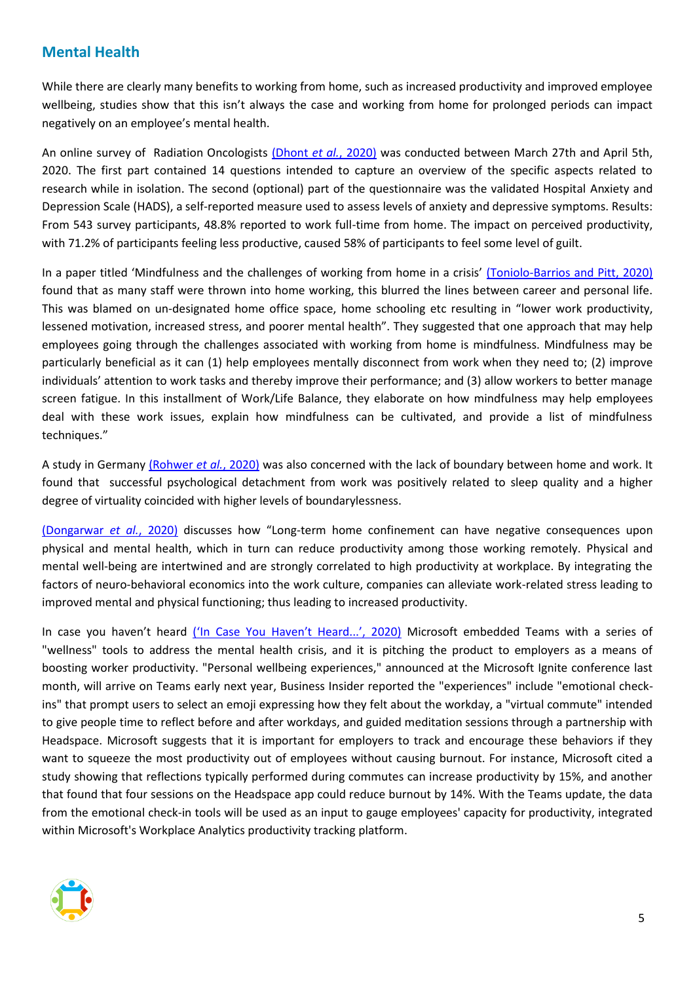#### **Mental Health**

While there are clearly many benefits to working from home, such as increased productivity and improved employee wellbeing, studies show that this isn't always the case and working from home for prolonged periods can impact negatively on an employee's mental health.

An online survey of Radiation Oncologists [\(Dhont](http://www.ctro.science/article/S2405630820300550/pdf) *et al.*, 2020) was conducted between March 27th and April 5th, 2020. The first part contained 14 questions intended to capture an overview of the specific aspects related to research while in isolation. The second (optional) part of the questionnaire was the validated Hospital Anxiety and Depression Scale (HADS), a self-reported measure used to assess levels of anxiety and depressive symptoms. Results: From 543 survey participants, 48.8% reported to work full-time from home. The impact on perceived productivity, with 71.2% of participants feeling less productive, caused 58% of participants to feel some level of guilt.

In a paper titled 'Mindfulness and the challenges of working from home in a crisis' [\(Toniolo-Barrios and Pitt, 2020\)](https://www.ncbi.nlm.nih.gov/pmc/articles/PMC7535863) found that as many staff were thrown into home working, this blurred the lines between career and personal life. This was blamed on un-designated home office space, home schooling etc resulting in "lower work productivity, lessened motivation, increased stress, and poorer mental health". They suggested that one approach that may help employees going through the challenges associated with working from home is mindfulness. Mindfulness may be particularly beneficial as it can (1) help employees mentally disconnect from work when they need to; (2) improve individuals' attention to work tasks and thereby improve their performance; and (3) allow workers to better manage screen fatigue. In this installment of Work/Life Balance, they elaborate on how mindfulness may help employees deal with these work issues, explain how mindfulness can be cultivated, and provide a list of mindfulness techniques."

A study in Germany [\(Rohwer](https://occup-med.biomedcentral.com/articles/10.1186/s12995-020-00281-0) *et al.*, 2020) was also concerned with the lack of boundary between home and work. It found that successful psychological detachment from work was positively related to sleep quality and a higher degree of virtuality coincided with higher levels of boundarylessness.

[\(Dongarwar](http://europepmc.org/search?query=(DOI:10.21106/ijma.399)) *et al.*, 2020) discusses how "Long-term home confinement can have negative consequences upon physical and mental health, which in turn can reduce productivity among those working remotely. Physical and mental well-being are intertwined and are strongly correlated to high productivity at workplace. By integrating the factors of neuro-behavioral economics into the work culture, companies can alleviate work-related stress leading to improved mental and physical functioning; thus leading to increased productivity.

In case you haven't heard [\('In Case You Haven't Heard...', 2020\)](https://go.openathens.net/redirector/nhs?url=https%3A%2F%2Fonlinelibrary.wiley.com%2Fdoi%2Ffull%2F10.1002%2Fmhw.32534) Microsoft embedded Teams with a series of "wellness" tools to address the mental health crisis, and it is pitching the product to employers as a means of boosting worker productivity. "Personal wellbeing experiences," announced at the Microsoft Ignite conference last month, will arrive on Teams early next year, Business Insider reported the "experiences" include "emotional checkins" that prompt users to select an emoji expressing how they felt about the workday, a "virtual commute" intended to give people time to reflect before and after workdays, and guided meditation sessions through a partnership with Headspace. Microsoft suggests that it is important for employers to track and encourage these behaviors if they want to squeeze the most productivity out of employees without causing burnout. For instance, Microsoft cited a study showing that reflections typically performed during commutes can increase productivity by 15%, and another that found that four sessions on the Headspace app could reduce burnout by 14%. With the Teams update, the data from the emotional check-in tools will be used as an input to gauge employees' capacity for productivity, integrated within Microsoft's Workplace Analytics productivity tracking platform.

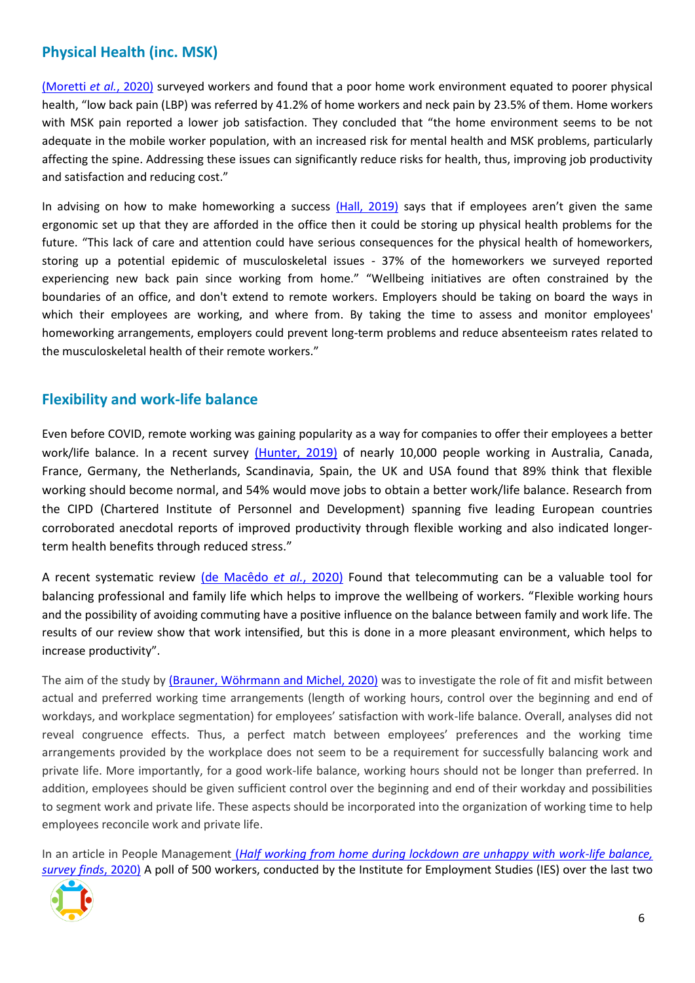# **Physical Health (inc. MSK)**

[\(Moretti](http://europepmc.org/search?query=(DOI:10.3390/ijerph17176284)) *et al.*, 2020) surveyed workers and found that a poor home work environment equated to poorer physical health, "low back pain (LBP) was referred by 41.2% of home workers and neck pain by 23.5% of them. Home workers with MSK pain reported a lower job satisfaction. They concluded that "the home environment seems to be not adequate in the mobile worker population, with an increased risk for mental health and MSK problems, particularly affecting the spine. Addressing these issues can significantly reduce risks for health, thus, improving job productivity and satisfaction and reducing cost."

In advising on how to make homeworking a success [\(Hall, 2019\)](https://gateway.proquest.com/openurl?ctx_ver=Z39.88-2004&res_id=xri:pqm&req_dat=xri:pqil:pq_clntid=48229&rft_val_fmt=ori/fmt:kev:mtx:journal&genre=article&issn=2397-1223&volume=71&issue=5&spage=9) says that if employees aren't given the same ergonomic set up that they are afforded in the office then it could be storing up physical health problems for the future. "This lack of care and attention could have serious consequences for the physical health of homeworkers, storing up a potential epidemic of musculoskeletal issues - 37% of the homeworkers we surveyed reported experiencing new back pain since working from home." "Wellbeing initiatives are often constrained by the boundaries of an office, and don't extend to remote workers. Employers should be taking on board the ways in which their employees are working, and where from. By taking the time to assess and monitor employees' homeworking arrangements, employers could prevent long-term problems and reduce absenteeism rates related to the musculoskeletal health of their remote workers."

# **Flexibility and work-life balance**

Even before COVID, remote working was gaining popularity as a way for companies to offer their employees a better work/life balance. In a recent survey [\(Hunter, 2019\)](http://europepmc.org/search?query=(DOI:10.15252/embr.201847435)) of nearly 10,000 people working in Australia, Canada, France, Germany, the Netherlands, Scandinavia, Spain, the UK and USA found that 89% think that flexible working should become normal, and 54% would move jobs to obtain a better work/life balance. Research from the CIPD (Chartered Institute of Personnel and Development) spanning five leading European countries corroborated anecdotal reports of improved productivity through flexible working and also indicated longer‐ term health benefits through reduced stress."

A recent systematic review [\(de Macêdo](https://content.iospress.com/articles/work/wor203224) *et al.*, 2020) Found that telecommuting can be a valuable tool for balancing professional and family life which helps to improve the wellbeing of workers. "Flexible working hours and the possibility of avoiding commuting have a positive influence on the balance between family and work life. The results of our review show that work intensified, but this is done in a more pleasant environment, which helps to increase productivity".

The aim of the study by [\(Brauner, Wöhrmann and Michel, 2020\)](https://www.tandfonline.com/doi/full/10.1080/07420528.2020.1803897) was to investigate the role of fit and misfit between actual and preferred working time arrangements (length of working hours, control over the beginning and end of workdays, and workplace segmentation) for employees' satisfaction with work-life balance. Overall, analyses did not reveal congruence effects. Thus, a perfect match between employees' preferences and the working time arrangements provided by the workplace does not seem to be a requirement for successfully balancing work and private life. More importantly, for a good work-life balance, working hours should not be longer than preferred. In addition, employees should be given sufficient control over the beginning and end of their workday and possibilities to segment work and private life. These aspects should be incorporated into the organization of working time to help employees reconcile work and private life.

In an article in People Management (*[Half working from home during lockdown are unhappy with work-life balance,](https://www.peoplemanagement.co.uk/news/articles/half-working-from-home-during-lockdown-unhappy-with-work-life-balance)  survey finds*, 2020) A poll of 500 workers, conducted by the Institute for Employment Studies (IES) over the last two

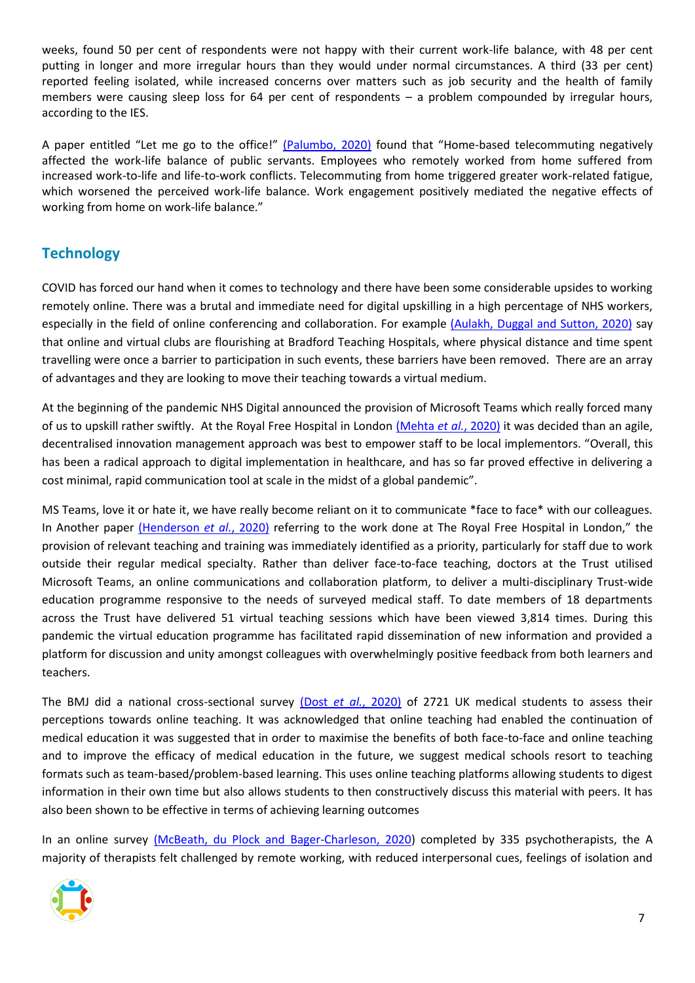weeks, found 50 per cent of respondents were not happy with their current work-life balance, with 48 per cent putting in longer and more irregular hours than they would under normal circumstances. A third (33 per cent) reported feeling isolated, while increased concerns over matters such as job security and the health of family members were causing sleep loss for 64 per cent of respondents – a problem compounded by irregular hours, according to the IES.

A paper entitled "Let me go to the office!" [\(Palumbo, 2020\)](https://www.emerald.com/insight/content/doi/10.1108/IJPSM-06-2020-0150/full/html#:~:text=Employees%20who%20remotely%20worked%20from,home%20on%20work%2Dlife%20balance.) found that "Home-based telecommuting negatively affected the work-life balance of public servants. Employees who remotely worked from home suffered from increased work-to-life and life-to-work conflicts. Telecommuting from home triggered greater work-related fatigue, which worsened the perceived work-life balance. Work engagement positively mediated the negative effects of working from home on work-life balance."

# **Technology**

COVID has forced our hand when it comes to technology and there have been some considerable upsides to working remotely online. There was a brutal and immediate need for digital upskilling in a high percentage of NHS workers, especially in the field of online conferencing and collaboration. For example [\(Aulakh, Duggal and Sutton, 2020\)](http://www.bjoms.com/article/S0266435620304472/pdf) say that online and virtual clubs are flourishing at Bradford Teaching Hospitals, where physical distance and time spent travelling were once a barrier to participation in such events, these barriers have been removed. There are an array of advantages and they are looking to move their teaching towards a virtual medium.

At the beginning of the pandemic NHS Digital announced the provision of Microsoft Teams which really forced many of us to upskill rather swiftly. At the Royal Free Hospital in London [\(Mehta](https://informatics.bmj.com/content/bmjhci/27/3/e100209.full.pdf) *et al.*, 2020) it was decided than an agile, decentralised innovation management approach was best to empower staff to be local implementors. "Overall, this has been a radical approach to digital implementation in healthcare, and has so far proved effective in delivering a cost minimal, rapid communication tool at scale in the midst of a global pandemic".

MS Teams, love it or hate it, we have really become reliant on it to communicate \*face to face\* with our colleagues. In Another paper [\(Henderson](https://www.rcpjournals.org/content/futurehosp/early/2020/07/22/fhj.2020-0071.full.pdf) *et al.*, 2020) referring to the work done at The Royal Free Hospital in London," the provision of relevant teaching and training was immediately identified as a priority, particularly for staff due to work outside their regular medical specialty. Rather than deliver face-to-face teaching, doctors at the Trust utilised Microsoft Teams, an online communications and collaboration platform, to deliver a multi-disciplinary Trust-wide education programme responsive to the needs of surveyed medical staff. To date members of 18 departments across the Trust have delivered 51 virtual teaching sessions which have been viewed 3,814 times. During this pandemic the virtual education programme has facilitated rapid dissemination of new information and provided a platform for discussion and unity amongst colleagues with overwhelmingly positive feedback from both learners and teachers.

The BMJ did a national cross-sectional survey (Dost *et al.*[, 2020\)](https://bmjopen.bmj.com/lookup/doi/10.1136/bmjopen-2020-042378) of 2721 UK medical students to assess their perceptions towards online teaching. It was acknowledged that online teaching had enabled the continuation of medical education it was suggested that in order to maximise the benefits of both face-to-face and online teaching and to improve the efficacy of medical education in the future, we suggest medical schools resort to teaching formats such as team-based/problem-based learning. This uses online teaching platforms allowing students to digest information in their own time but also allows students to then constructively discuss this material with peers. It has also been shown to be effective in terms of achieving learning outcomes

In an online survey [\(McBeath, du Plock and Bager-Charleson, 2020\)](https://onlinelibrary.wiley.com/doi/pdfdirect/10.1002/capr.12326) completed by 335 psychotherapists, the A majority of therapists felt challenged by remote working, with reduced interpersonal cues, feelings of isolation and

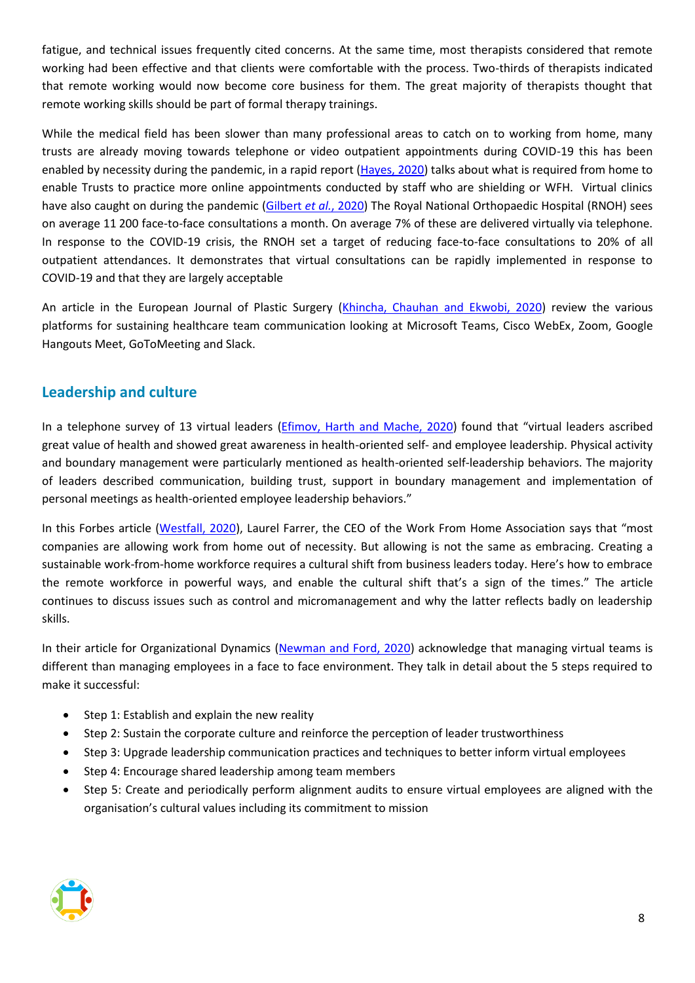fatigue, and technical issues frequently cited concerns. At the same time, most therapists considered that remote working had been effective and that clients were comfortable with the process. Two-thirds of therapists indicated that remote working would now become core business for them. The great majority of therapists thought that remote working skills should be part of formal therapy trainings.

While the medical field has been slower than many professional areas to catch on to working from home, many trusts are already moving towards telephone or video outpatient appointments during COVID-19 this has been enabled by necessity during the pandemic, in a rapid report [\(Hayes, 2020\)](https://www.rcpjournals.org/content/futurehosp/7/2/163.full.pdf) talks about what is required from home to enable Trusts to practice more online appointments conducted by staff who are shielding or WFH. Virtual clinics have also caught on during the pandemic [\(Gilbert](https://gateway.proquest.com/openurl?ctx_ver=Z39.88-2004&res_id=xri:pqm&req_dat=xri:pqil:pq_clntid=48229&rft_val_fmt=ori/fmt:kev:mtx:journal&genre=article&issn=2399-6641&volume=9&issue=2&spage=e000985) *et al.*, 2020) The Royal National Orthopaedic Hospital (RNOH) sees on average 11 200 face-to-face consultations a month. On average 7% of these are delivered virtually via telephone. In response to the COVID-19 crisis, the RNOH set a target of reducing face-to-face consultations to 20% of all outpatient attendances. It demonstrates that virtual consultations can be rapidly implemented in response to COVID-19 and that they are largely acceptable

An article in the European Journal of Plastic Surgery [\(Khincha, Chauhan and Ekwobi, 2020\)](https://link.springer.com/content/pdf/10.1007/s00238-020-01702-3.pdf) review the various platforms for sustaining healthcare team communication looking at Microsoft Teams, Cisco WebEx, Zoom, Google Hangouts Meet, GoToMeeting and Slack.

#### **Leadership and culture**

In a telephone survey of 13 virtual leaders (*Efimov, Harth and Mache, 2020*) found that "virtual leaders ascribed great value of health and showed great awareness in health-oriented self- and employee leadership. Physical activity and boundary management were particularly mentioned as health-oriented self-leadership behaviors. The majority of leaders described communication, building trust, support in boundary management and implementation of personal meetings as health-oriented employee leadership behaviors."

In this Forbes article [\(Westfall, 2020\)](https://www.forbes.com/sites/chriswestfall/2020/05/21/how-organizations-can-create-a-work-from-home-culture-and-embrace-the-remote-workforce), Laurel Farrer, the CEO of the Work From Home Association says that "most companies are allowing work from home out of necessity. But allowing is not the same as embracing. Creating a sustainable work-from-home workforce requires a cultural shift from business leaders today. Here's how to embrace the remote workforce in powerful ways, and enable the cultural shift that's a sign of the times." The article continues to discuss issues such as control and micromanagement and why the latter reflects badly on leadership skills.

In their article for Organizational Dynamics [\(Newman and Ford, 2020\)](https://www.sciencedirect.com/science/article/pii/S0090261620300541) acknowledge that managing virtual teams is different than managing employees in a face to face environment. They talk in detail about the 5 steps required to make it successful:

- Step 1: Establish and explain the new reality
- Step 2: Sustain the corporate culture and reinforce the perception of leader trustworthiness
- Step 3: Upgrade leadership communication practices and techniques to better inform virtual employees
- Step 4: Encourage shared leadership among team members
- Step 5: Create and periodically perform alignment audits to ensure virtual employees are aligned with the organisation's cultural values including its commitment to mission

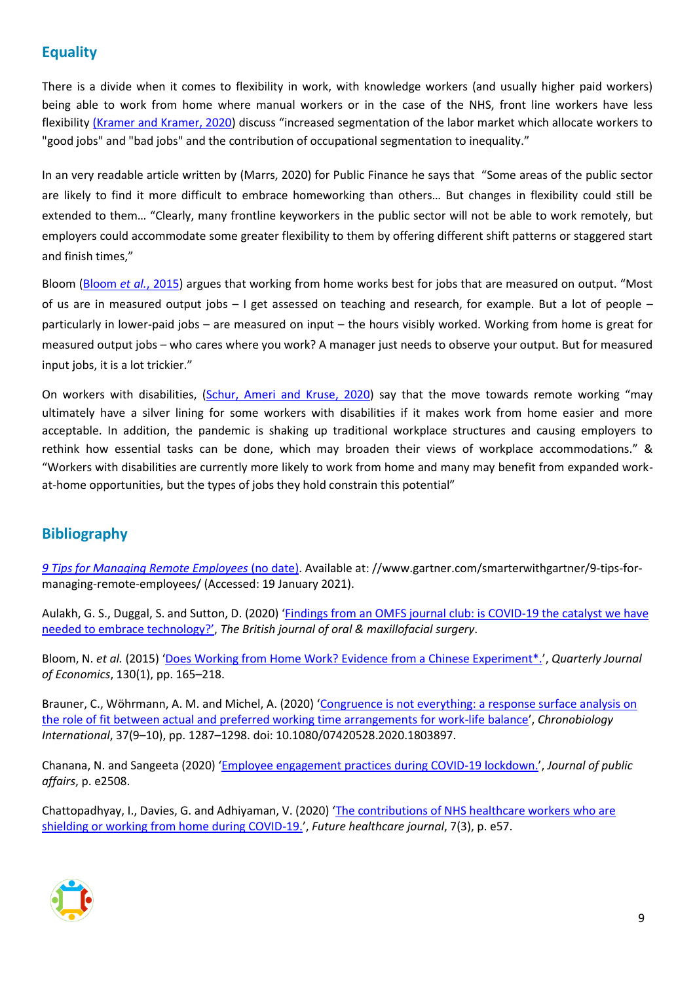# **Equality**

There is a divide when it comes to flexibility in work, with knowledge workers (and usually higher paid workers) being able to work from home where manual workers or in the case of the NHS, front line workers have less flexibility [\(Kramer and Kramer, 2020\)](http://europepmc.org/articles/pmc7205621?pdf=render) discuss "increased segmentation of the labor market which allocate workers to "good jobs" and "bad jobs" and the contribution of occupational segmentation to inequality."

In an very readable article written by (Marrs, 2020) for Public Finance he says that "Some areas of the public sector are likely to find it more difficult to embrace homeworking than others… But changes in flexibility could still be extended to them… "Clearly, many frontline keyworkers in the public sector will not be able to work remotely, but employers could accommodate some greater flexibility to them by offering different shift patterns or staggered start and finish times,"

Bloom [\(Bloom](https://www.gsb.stanford.edu/faculty-research/publications/does-working-home-work-evidence-chinese-experiment) *et al.*, 2015) argues that working from home works best for jobs that are measured on output. "Most of us are in measured output jobs – I get assessed on teaching and research, for example. But a lot of people – particularly in lower-paid jobs – are measured on input – the hours visibly worked. Working from home is great for measured output jobs – who cares where you work? A manager just needs to observe your output. But for measured input jobs, it is a lot trickier."

On workers with disabilities, [\(Schur, Ameri and Kruse, 2020\)](https://link.springer.com/content/pdf/10.1007/s10926-020-09936-5.pdf) say that the move towards remote working "may ultimately have a silver lining for some workers with disabilities if it makes work from home easier and more acceptable. In addition, the pandemic is shaking up traditional workplace structures and causing employers to rethink how essential tasks can be done, which may broaden their views of workplace accommodations." & "Workers with disabilities are currently more likely to work from home and many may benefit from expanded workat-home opportunities, but the types of jobs they hold constrain this potential"

# **Bibliography**

*[9 Tips for Managing Remote Employees](https://www.gartner.com/smarterwithgartner/9-tips-for-managing-remote-employees/)* (no date). Available at: //www.gartner.com/smarterwithgartner/9-tips-formanaging-remote-employees/ (Accessed: 19 January 2021).

Aulakh, G. S., Duggal, S. and Sutton, D. (2020) 'Findings from an OMFS journal club: is COVID-19 the catalyst we have [needed to embrace technology?'](http://www.bjoms.com/article/S0266435620304472/pdf), *The British journal of oral & maxillofacial surgery*.

Bloom, N. *et al.* (2015) '[Does Working from Home Work? Evidence from a Chinese Experiment\\*.](https://nbloom.people.stanford.edu/sites/g/files/sbiybj4746/f/wfh.pdf)', *Quarterly Journal of Economics*, 130(1), pp. 165–218.

Brauner, C., Wöhrmann, A. M. and Michel, A. (2020) '[Congruence is not everything: a response surface](https://www.tandfonline.com/doi/full/10.1080/07420528.2020.1803897) analysis on [the role of fit between actual and preferred working time arrangements for work-life balance](https://www.tandfonline.com/doi/full/10.1080/07420528.2020.1803897)', *Chronobiology International*, 37(9–10), pp. 1287–1298. doi: 10.1080/07420528.2020.1803897.

Chanana, N. and Sangeeta (2020) '[Employee engagement practices during COVID-19 lockdown.](https://doi.org/10.1002/pa.2508)', *Journal of public affairs*, p. e2508.

Chattopadhyay, I., Davies, G. and Adhiyaman, V. (2020) '[The contributions of NHS healthcare workers who are](https://www.rcpjournals.org/content/futurehosp/early/2020/06/16/fhj.2020-0096.full.pdf)  [shielding or working from home during COVID-19.](https://www.rcpjournals.org/content/futurehosp/early/2020/06/16/fhj.2020-0096.full.pdf)', *Future healthcare journal*, 7(3), p. e57.

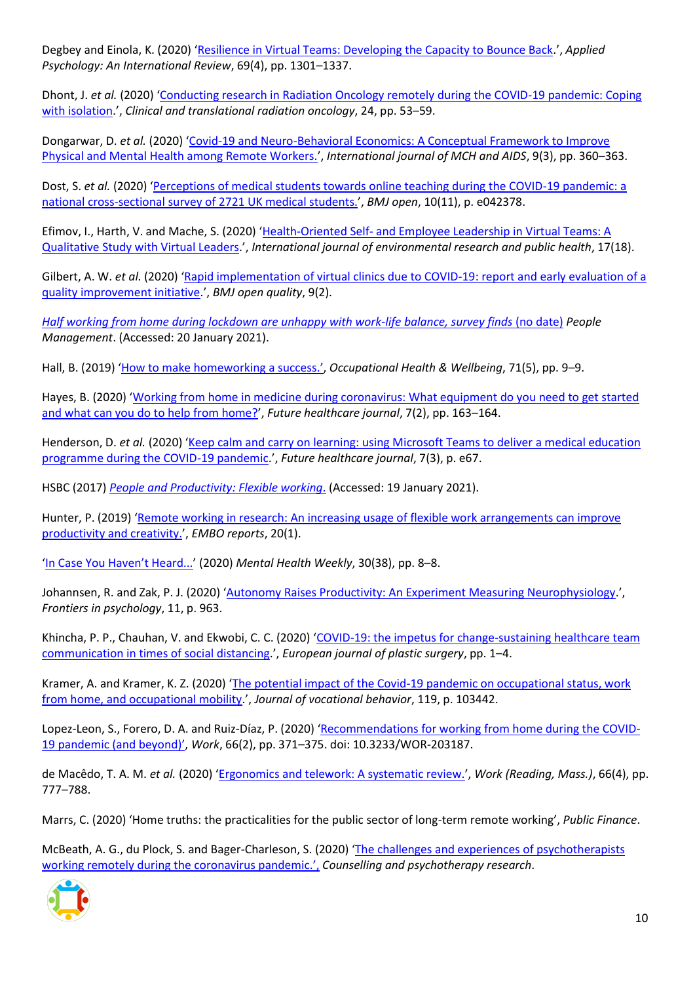Degbey and Einola, K. (2020) '[Resilience in Virtual Teams: Developing the Capacity to Bounce Back](https://go.openathens.net/redirector/nhs?url=https%3A%2F%2Fonlinelibrary.wiley.com%2Fdoi%2Ffull%2F10.1111%2Fapps.12220).', *Applied Psychology: An International Review*, 69(4), pp. 1301–1337.

Dhont, J. *et al.* (2020) 'Conducting research in Radiation Oncology remotely during the COVID-19 pandemic: Coping [with isolation](http://www.ctro.science/article/S2405630820300550/pdf).', *Clinical and translational radiation oncology*, 24, pp. 53–59.

Dongarwar, D. *et al.* (2020) '[Covid-19 and Neuro-Behavioral Economics: A Conceptual Framework to Improve](http://europepmc.org/search?query=(DOI:10.21106/ijma.399))  [Physical and Mental Health among Remote Workers.](http://europepmc.org/search?query=(DOI:10.21106/ijma.399))', *International journal of MCH and AIDS*, 9(3), pp. 360–363.

Dost, S. *et al.* (2020) '[Perceptions of medical students towards online teaching during the COVID-19 pandemic: a](https://bmjopen.bmj.com/lookup/doi/10.1136/bmjopen-2020-042378)  [national cross-sectional survey of 2721 UK medical students.](https://bmjopen.bmj.com/lookup/doi/10.1136/bmjopen-2020-042378)', *BMJ open*, 10(11), p. e042378.

Efimov, I., Harth, V. and Mache, S. (2020) 'Health-Oriented Self- [and Employee Leadership in Virtual Teams: A](http://europepmc.org/search?query=(DOI:10.3390/ijerph17186519))  [Qualitative Study with](http://europepmc.org/search?query=(DOI:10.3390/ijerph17186519)) Virtual Leaders.', *International journal of environmental research and public health*, 17(18).

Gilbert, A. W. *et al.* (2020) '[Rapid implementation of virtual clinics due to COVID-19: report and early evaluation of a](https://gateway.proquest.com/openurl?ctx_ver=Z39.88-2004&res_id=xri:pqm&req_dat=xri:pqil:pq_clntid=48229&rft_val_fmt=ori/fmt:kev:mtx:journal&genre=article&issn=2399-6641&volume=9&issue=2&spage=e000985)  [quality improvement initiative](https://gateway.proquest.com/openurl?ctx_ver=Z39.88-2004&res_id=xri:pqm&req_dat=xri:pqil:pq_clntid=48229&rft_val_fmt=ori/fmt:kev:mtx:journal&genre=article&issn=2399-6641&volume=9&issue=2&spage=e000985).', *BMJ open quality*, 9(2).

*[Half working from home during lockdown are unhappy with work-life balance, survey finds](https://www.peoplemanagement.co.uk/news/articles/half-working-from-home-during-lockdown-unhappy-with-work-life-balance)* (no date) *People Management*. (Accessed: 20 January 2021).

Hall, B. (2019) '[How to make homeworking](https://gateway.proquest.com/openurl?ctx_ver=Z39.88-2004&res_id=xri:pqm&req_dat=xri:pqil:pq_clntid=48229&rft_val_fmt=ori/fmt:kev:mtx:journal&genre=article&issn=2397-1223&volume=71&issue=5&spage=9) a success.', *Occupational Health & Wellbeing*, 71(5), pp. 9–9.

Hayes, B. (2020) '[Working from home in medicine during coronavirus: What equipment do you need to get started](https://www.rcpjournals.org/content/futurehosp/7/2/163.full.pdf)  [and what can you do to help from home?](https://www.rcpjournals.org/content/futurehosp/7/2/163.full.pdf)', *Future healthcare journal*, 7(2), pp. 163–164.

Henderson, D. *et al.* (2020) '[Keep calm and carry on learning: using Microsoft Teams to deliver a medical education](https://www.rcpjournals.org/content/futurehosp/early/2020/07/22/fhj.2020-0071.full.pdf)  [programme during the COVID-19 pandemic](https://www.rcpjournals.org/content/futurehosp/early/2020/07/22/fhj.2020-0071.full.pdf).', *Future healthcare journal*, 7(3), p. e67.

HSBC (2017) *[People and Productivity: Flexible working](https://www.business.hsbc.uk/-/media/library/business-uk/pdfs/productivity-report-2017.pdf)*. (Accessed: 19 January 2021).

Hunter, P. (2019) '[Remote working in research: An increasing usage of flexible work arrangements can improve](http://europepmc.org/search?query=(DOI:10.15252/embr.201847435))  [productivity and creativity.](http://europepmc.org/search?query=(DOI:10.15252/embr.201847435))', *EMBO reports*, 20(1).

['In Case You Haven't Heard...'](https://go.openathens.net/redirector/nhs?url=https%3A%2F%2Fonlinelibrary.wiley.com%2Fdoi%2Ffull%2F10.1002%2Fmhw.32534) (2020) *Mental Health Weekly*, 30(38), pp. 8–8.

Johannsen, R. and Zak, P. J. (2020) '[Autonomy Raises Productivity: An Experiment Measuring Neurophysiology](http://europepmc.org/search?query=(DOI:10.3389/fpsyg.2020.00963)).', *Frontiers in psychology*, 11, p. 963.

Khincha, P. P., Chauhan, V. and Ekwobi, C. C. (2020) '[COVID-19: the impetus for change-sustaining healthcare team](https://link.springer.com/content/pdf/10.1007/s00238-020-01702-3.pdf)  [communication in times of social distancing](https://link.springer.com/content/pdf/10.1007/s00238-020-01702-3.pdf).', *European journal of plastic surgery*, pp. 1–4.

Kramer, A. and Kramer, K. Z. (2020) '[The potential impact of the Covid-19 pandemic on occupational status, work](http://europepmc.org/articles/pmc7205621?pdf=render)  [from home, and occupational mobility](http://europepmc.org/articles/pmc7205621?pdf=render).', *Journal of vocational behavior*, 119, p. 103442.

Lopez-Leon, S., Forero, D. A. and Ruiz-Díaz, P. (2020) '[Recommendations for working from home during the COVID-](https://content.iospress.com/download/work/wor203187?id=work%2Fwor203187)[19 pandemic \(and beyond\)'](https://content.iospress.com/download/work/wor203187?id=work%2Fwor203187), *Work*, 66(2), pp. 371–375. doi: 10.3233/WOR-203187.

de Macêdo, T. A. M. *et al.* (2020) '[Ergonomics and telework: A systematic review.](https://content.iospress.com/articles/work/wor203224)', *Work (Reading, Mass.)*, 66(4), pp. 777–788.

Marrs, C. (2020) 'Home truths: the practicalities for the public sector of long-term remote working', *Public Finance*.

McBeath, A. G., du Plock, S. and Bager-Charleson, S. (2020) '[The challenges and experiences of psychotherapists](https://onlinelibrary.wiley.com/doi/pdfdirect/10.1002/capr.12326)  [working remotely during the coronavirus pandemic.',](https://onlinelibrary.wiley.com/doi/pdfdirect/10.1002/capr.12326) *Counselling and psychotherapy research*.